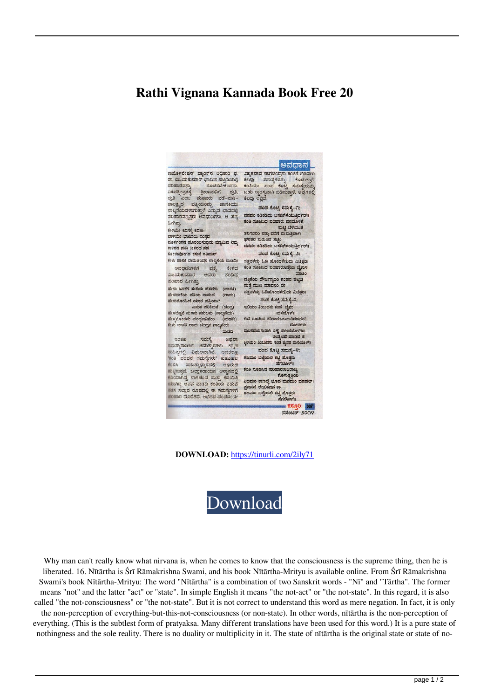## **Rathi Vignana Kannada Book Free 20**



**DOWNLOAD:** <https://tinurli.com/2ily71>



Why man can't really know what nirvana is, when he comes to know that the consciousness is the supreme thing, then he is liberated. 16. Nītārtha is Śrī Rāmakrishna Swami, and his book Nītārtha-Mrityu is available online. From Śrī Rāmakrishna Swami's book Nītārtha-Mrityu: The word "Nītārtha" is a combination of two Sanskrit words - "Nī" and "Tārtha". The former means "not" and the latter "act" or "state". In simple English it means "the not-act" or "the not-state". In this regard, it is also called "the not-consciousness" or "the not-state". But it is not correct to understand this word as mere negation. In fact, it is only the non-perception of everything-but-this-not-consciousness (or non-state). In other words, nītārtha is the non-perception of everything. (This is the subtlest form of pratyaksa. Many different translations have been used for this word.) It is a pure state of nothingness and the sole reality. There is no duality or multiplicity in it. The state of nītārtha is the original state or state of no-